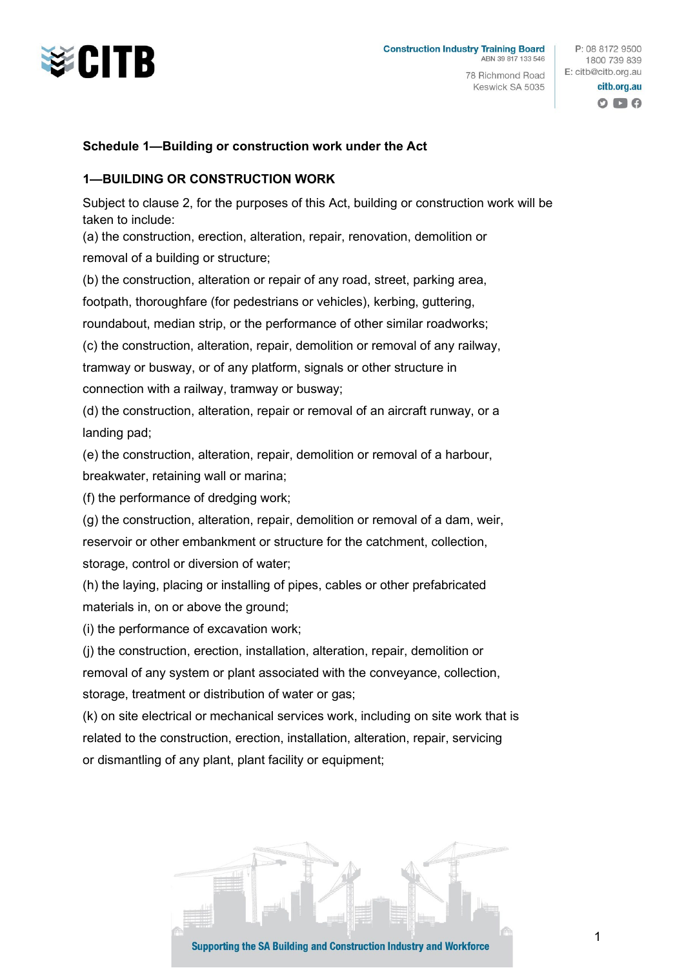

78 Richmond Road Keswick SA 5035

P: 08 8172 9500 1800 739 839 E: citb@citb.org.au citb.org.au

 $O$   $\blacksquare$   $O$ 

### **Schedule 1—Building or construction work under the Act**

## **1—BUILDING OR CONSTRUCTION WORK**

Subject to clause 2, for the purposes of this Act, building or construction work will be taken to include:

(a) the construction, erection, alteration, repair, renovation, demolition or removal of a building or structure;

(b) the construction, alteration or repair of any road, street, parking area,

footpath, thoroughfare (for pedestrians or vehicles), kerbing, guttering,

roundabout, median strip, or the performance of other similar roadworks;

(c) the construction, alteration, repair, demolition or removal of any railway,

tramway or busway, or of any platform, signals or other structure in

connection with a railway, tramway or busway;

(d) the construction, alteration, repair or removal of an aircraft runway, or a landing pad;

(e) the construction, alteration, repair, demolition or removal of a harbour, breakwater, retaining wall or marina;

(f) the performance of dredging work;

(g) the construction, alteration, repair, demolition or removal of a dam, weir, reservoir or other embankment or structure for the catchment, collection, storage, control or diversion of water;

(h) the laying, placing or installing of pipes, cables or other prefabricated materials in, on or above the ground;

(i) the performance of excavation work;

(j) the construction, erection, installation, alteration, repair, demolition or removal of any system or plant associated with the conveyance, collection, storage, treatment or distribution of water or gas;

(k) on site electrical or mechanical services work, including on site work that is related to the construction, erection, installation, alteration, repair, servicing or dismantling of any plant, plant facility or equipment;

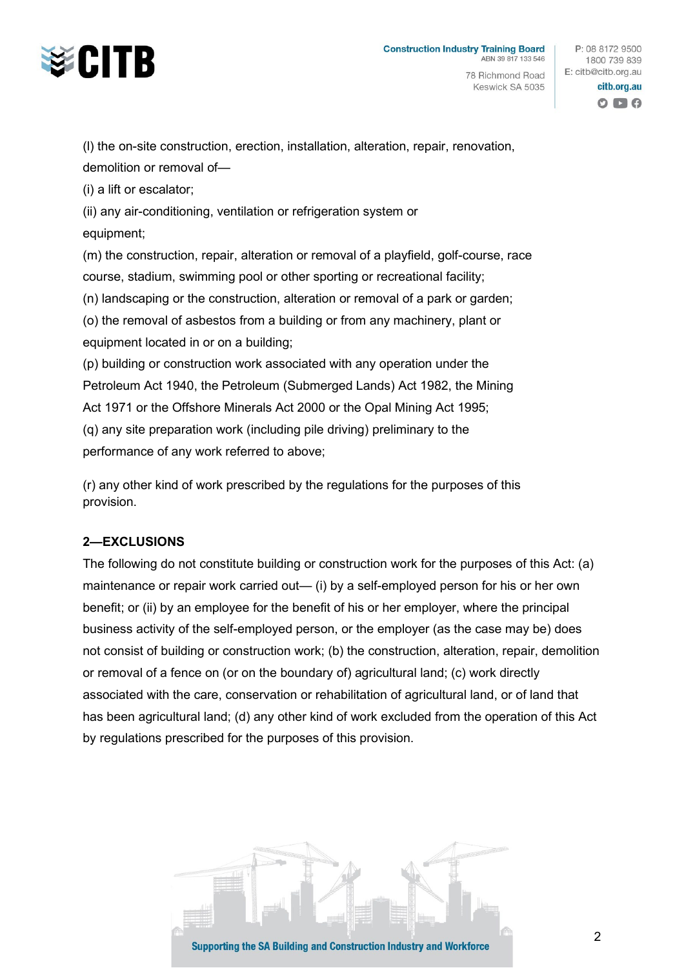

78 Richmond Road Keswick SA 5035

P: 08 8172 9500 1800 739 839 E: citb@citb.org.au

> citb.org.au  $O$   $\blacksquare$   $O$

(l) the on-site construction, erection, installation, alteration, repair, renovation, demolition or removal of—

(i) a lift or escalator;

(ii) any air-conditioning, ventilation or refrigeration system or equipment;

(m) the construction, repair, alteration or removal of a playfield, golf-course, race course, stadium, swimming pool or other sporting or recreational facility;

(n) landscaping or the construction, alteration or removal of a park or garden;

(o) the removal of asbestos from a building or from any machinery, plant or equipment located in or on a building;

(p) building or construction work associated with any operation under the Petroleum Act 1940, the Petroleum (Submerged Lands) Act 1982, the Mining Act 1971 or the Offshore Minerals Act 2000 or the Opal Mining Act 1995; (q) any site preparation work (including pile driving) preliminary to the performance of any work referred to above;

(r) any other kind of work prescribed by the regulations for the purposes of this provision.

# **2—EXCLUSIONS**

The following do not constitute building or construction work for the purposes of this Act: (a) maintenance or repair work carried out— (i) by a self-employed person for his or her own benefit; or (ii) by an employee for the benefit of his or her employer, where the principal business activity of the self-employed person, or the employer (as the case may be) does not consist of building or construction work; (b) the construction, alteration, repair, demolition or removal of a fence on (or on the boundary of) agricultural land; (c) work directly associated with the care, conservation or rehabilitation of agricultural land, or of land that has been agricultural land; (d) any other kind of work excluded from the operation of this Act by regulations prescribed for the purposes of this provision.